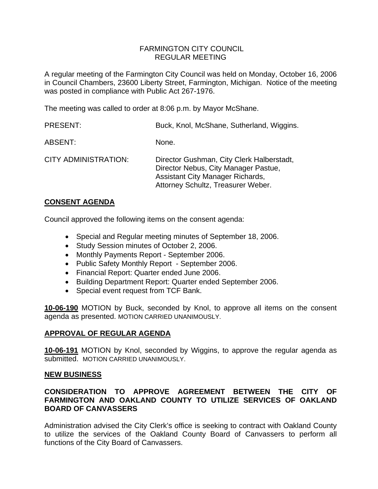### FARMINGTON CITY COUNCIL REGULAR MEETING

A regular meeting of the Farmington City Council was held on Monday, October 16, 2006 in Council Chambers, 23600 Liberty Street, Farmington, Michigan. Notice of the meeting was posted in compliance with Public Act 267-1976.

The meeting was called to order at 8:06 p.m. by Mayor McShane.

| <b>PRESENT:</b>             | Buck, Knol, McShane, Sutherland, Wiggins.                                                                                                                   |
|-----------------------------|-------------------------------------------------------------------------------------------------------------------------------------------------------------|
| ABSENT:                     | None.                                                                                                                                                       |
| <b>CITY ADMINISTRATION:</b> | Director Gushman, City Clerk Halberstadt,<br>Director Nebus, City Manager Pastue,<br>Assistant City Manager Richards,<br>Attorney Schultz, Treasurer Weber. |

### **CONSENT AGENDA**

Council approved the following items on the consent agenda:

- Special and Regular meeting minutes of September 18, 2006.
- Study Session minutes of October 2, 2006.
- Monthly Payments Report September 2006.
- Public Safety Monthly Report September 2006.
- Financial Report: Quarter ended June 2006.
- Building Department Report: Quarter ended September 2006.
- Special event request from TCF Bank.

**10-06-190** MOTION by Buck, seconded by Knol, to approve all items on the consent agenda as presented. MOTION CARRIED UNANIMOUSLY.

### **APPROVAL OF REGULAR AGENDA**

**10-06-191** MOTION by Knol, seconded by Wiggins, to approve the regular agenda as submitted. MOTION CARRIED UNANIMOUSLY.

### **NEW BUSINESS**

# **CONSIDERATION TO APPROVE AGREEMENT BETWEEN THE CITY OF FARMINGTON AND OAKLAND COUNTY TO UTILIZE SERVICES OF OAKLAND BOARD OF CANVASSERS**

Administration advised the City Clerk's office is seeking to contract with Oakland County to utilize the services of the Oakland County Board of Canvassers to perform all functions of the City Board of Canvassers.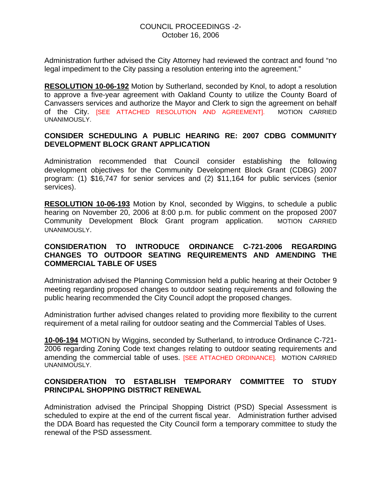Administration further advised the City Attorney had reviewed the contract and found "no legal impediment to the City passing a resolution entering into the agreement."

**RESOLUTION 10-06-192** Motion by Sutherland, seconded by Knol, to adopt a resolution to approve a five-year agreement with Oakland County to utilize the County Board of Canvassers services and authorize the Mayor and Clerk to sign the agreement on behalf of the City. [SEE ATTACHED RESOLUTION AND AGREEMENT]. MOTION CARRIED UNANIMOUSLY.

### **CONSIDER SCHEDULING A PUBLIC HEARING RE: 2007 CDBG COMMUNITY DEVELOPMENT BLOCK GRANT APPLICATION**

Administration recommended that Council consider establishing the following development objectives for the Community Development Block Grant (CDBG) 2007 program: (1) \$16,747 for senior services and (2) \$11,164 for public services (senior services).

**RESOLUTION 10-06-193** Motion by Knol, seconded by Wiggins, to schedule a public hearing on November 20, 2006 at 8:00 p.m. for public comment on the proposed 2007 Community Development Block Grant program application. MOTION CARRIED UNANIMOUSLY.

### **CONSIDERATION TO INTRODUCE ORDINANCE C-721-2006 REGARDING CHANGES TO OUTDOOR SEATING REQUIREMENTS AND AMENDING THE COMMERCIAL TABLE OF USES**

Administration advised the Planning Commission held a public hearing at their October 9 meeting regarding proposed changes to outdoor seating requirements and following the public hearing recommended the City Council adopt the proposed changes.

Administration further advised changes related to providing more flexibility to the current requirement of a metal railing for outdoor seating and the Commercial Tables of Uses.

**10-06-194** MOTION by Wiggins, seconded by Sutherland, to introduce Ordinance C-721- 2006 regarding Zoning Code text changes relating to outdoor seating requirements and amending the commercial table of uses. [SEE ATTACHED ORDINANCE]. MOTION CARRIED UNANIMOUSLY.

# **CONSIDERATION TO ESTABLISH TEMPORARY COMMITTEE TO STUDY PRINCIPAL SHOPPING DISTRICT RENEWAL**

Administration advised the Principal Shopping District (PSD) Special Assessment is scheduled to expire at the end of the current fiscal year. Administration further advised the DDA Board has requested the City Council form a temporary committee to study the renewal of the PSD assessment.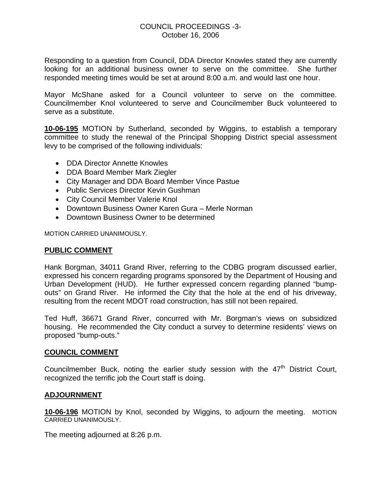Responding to a question from Council, DDA Director Knowles stated they are currently looking for an additional business owner to serve on the committee. She further responded meeting times would be set at around 8:00 a.m. and would last one hour.

Mayor McShane asked for a Council volunteer to serve on the committee. Councilmember Knol volunteered to serve and Councilmember Buck volunteered to serve as a substitute.

**10-06-195** MOTION by Sutherland, seconded by Wiggins, to establish a temporary committee to study the renewal of the Principal Shopping District special assessment levy to be comprised of the following individuals:

- DDA Director Annette Knowles
- DDA Board Member Mark Ziegler
- City Manager and DDA Board Member Vince Pastue
- Public Services Director Kevin Gushman
- City Council Member Valerie Knol
- Downtown Business Owner Karen Gura Merle Norman
- Downtown Business Owner to be determined

MOTION CARRIED UNANIMOUSLY.

### **PUBLIC COMMENT**

Hank Borgman, 34011 Grand River, referring to the CDBG program discussed earlier, expressed his concern regarding programs sponsored by the Department of Housing and Urban Development (HUD). He further expressed concern regarding planned "bumpouts" on Grand River. He informed the City that the hole at the end of his driveway, resulting from the recent MDOT road construction, has still not been repaired.

Ted Huff, 36671 Grand River, concurred with Mr. Borgman's views on subsidized housing. He recommended the City conduct a survey to determine residents' views on proposed "bump-outs."

#### **COUNCIL COMMENT**

Councilmember Buck, noting the earlier study session with the  $47<sup>th</sup>$  District Court, recognized the terrific job the Court staff is doing.

### **ADJOURNMENT**

**10-06-196** MOTION by Knol, seconded by Wiggins, to adjourn the meeting. MOTION CARRIED UNANIMOUSLY.

The meeting adjourned at 8:26 p.m.